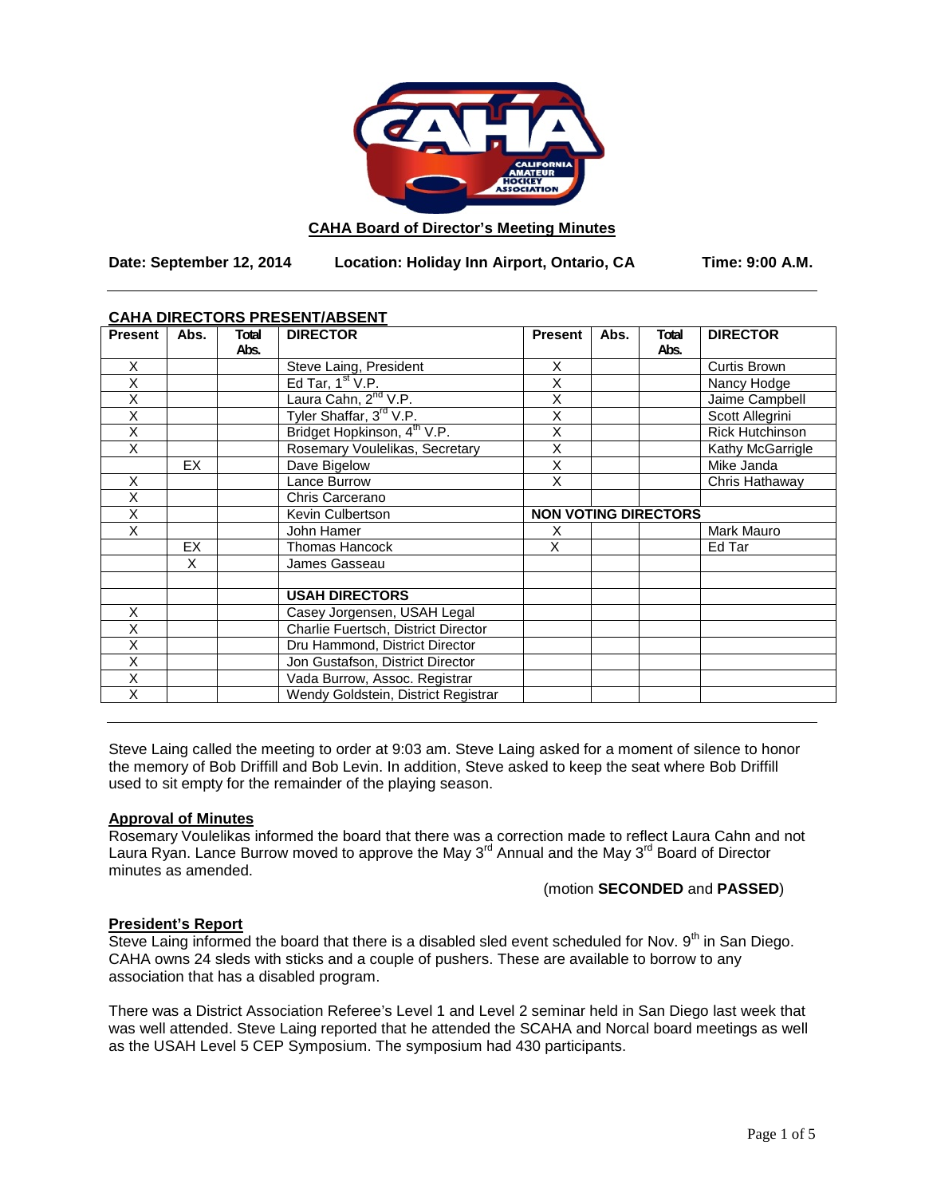

#### **CAHA Board of Director's Meeting Minutes**

**Date: September 12, 2014 Location: Holiday Inn Airport, Ontario, CA Time: 9:00 A.M.**

## **CAHA DIRECTORS PRESENT/ABSENT**

| <b>Present</b> | Abs. | Total | <b>DIRECTOR</b>                         | <b>Present</b> | Abs.                        | Total | <b>DIRECTOR</b>        |
|----------------|------|-------|-----------------------------------------|----------------|-----------------------------|-------|------------------------|
|                |      | Abs.  |                                         |                |                             | Abs.  |                        |
| X              |      |       | Steve Laing, President                  | X              |                             |       | Curtis Brown           |
| X              |      |       | Ed Tar, $1st V.P.$                      | Χ              |                             |       | Nancy Hodge            |
| X              |      |       | Laura Cahn, 2 <sup>nd</sup> V.P.        | X              |                             |       | Jaime Campbell         |
| Χ              |      |       | Tyler Shaffar, 3rd V.P.                 | Χ              |                             |       | Scott Allegrini        |
| Χ              |      |       | Bridget Hopkinson, 4 <sup>th</sup> V.P. | X              |                             |       | <b>Rick Hutchinson</b> |
| X              |      |       | Rosemary Voulelikas, Secretary          | X              |                             |       | Kathy McGarrigle       |
|                | EX   |       | Dave Bigelow                            | Χ              |                             |       | Mike Janda             |
| X              |      |       | Lance Burrow                            | X              |                             |       | Chris Hathaway         |
| X              |      |       | Chris Carcerano                         |                |                             |       |                        |
| X              |      |       | Kevin Culbertson                        |                | <b>NON VOTING DIRECTORS</b> |       |                        |
| X              |      |       | John Hamer                              | X              |                             |       | Mark Mauro             |
|                | EX   |       | Thomas Hancock                          | X              |                             |       | Ed Tar                 |
|                | X    |       | James Gasseau                           |                |                             |       |                        |
|                |      |       |                                         |                |                             |       |                        |
|                |      |       | <b>USAH DIRECTORS</b>                   |                |                             |       |                        |
| X              |      |       | Casey Jorgensen, USAH Legal             |                |                             |       |                        |
| Χ              |      |       | Charlie Fuertsch, District Director     |                |                             |       |                        |
| X              |      |       | Dru Hammond, District Director          |                |                             |       |                        |
| X              |      |       | Jon Gustafson, District Director        |                |                             |       |                        |
| X              |      |       | Vada Burrow, Assoc. Registrar           |                |                             |       |                        |
| X              |      |       | Wendy Goldstein, District Registrar     |                |                             |       |                        |

Steve Laing called the meeting to order at 9:03 am. Steve Laing asked for a moment of silence to honor the memory of Bob Driffill and Bob Levin. In addition, Steve asked to keep the seat where Bob Driffill used to sit empty for the remainder of the playing season.

# **Approval of Minutes**

Rosemary Voulelikas informed the board that there was a correction made to reflect Laura Cahn and not Laura Ryan. Lance Burrow moved to approve the May  $3^{rd}$  Annual and the May  $3^{rd}$  Board of Director minutes as amended.

(motion **SECONDED** and **PASSED**)

#### **President's Report**

Steve Laing informed the board that there is a disabled sled event scheduled for Nov. 9<sup>th</sup> in San Diego. CAHA owns 24 sleds with sticks and a couple of pushers. These are available to borrow to any association that has a disabled program.

There was a District Association Referee's Level 1 and Level 2 seminar held in San Diego last week that was well attended. Steve Laing reported that he attended the SCAHA and Norcal board meetings as well as the USAH Level 5 CEP Symposium. The symposium had 430 participants.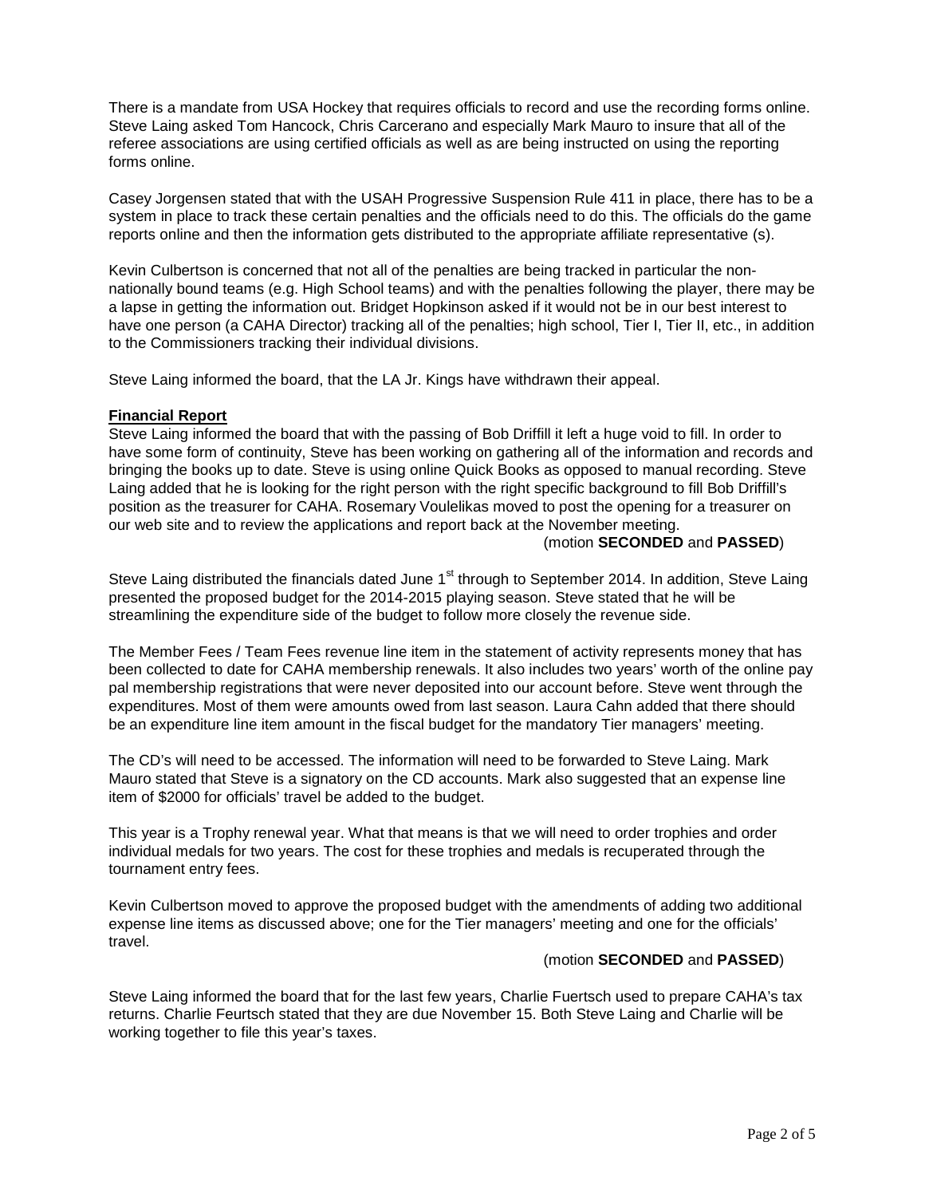There is a mandate from USA Hockey that requires officials to record and use the recording forms online. Steve Laing asked Tom Hancock, Chris Carcerano and especially Mark Mauro to insure that all of the referee associations are using certified officials as well as are being instructed on using the reporting forms online.

Casey Jorgensen stated that with the USAH Progressive Suspension Rule 411 in place, there has to be a system in place to track these certain penalties and the officials need to do this. The officials do the game reports online and then the information gets distributed to the appropriate affiliate representative (s).

Kevin Culbertson is concerned that not all of the penalties are being tracked in particular the nonnationally bound teams (e.g. High School teams) and with the penalties following the player, there may be a lapse in getting the information out. Bridget Hopkinson asked if it would not be in our best interest to have one person (a CAHA Director) tracking all of the penalties; high school, Tier I, Tier II, etc., in addition to the Commissioners tracking their individual divisions.

Steve Laing informed the board, that the LA Jr. Kings have withdrawn their appeal.

#### **Financial Report**

Steve Laing informed the board that with the passing of Bob Driffill it left a huge void to fill. In order to have some form of continuity, Steve has been working on gathering all of the information and records and bringing the books up to date. Steve is using online Quick Books as opposed to manual recording. Steve Laing added that he is looking for the right person with the right specific background to fill Bob Driffill's position as the treasurer for CAHA. Rosemary Voulelikas moved to post the opening for a treasurer on our web site and to review the applications and report back at the November meeting.

(motion **SECONDED** and **PASSED**)

Steve Laing distributed the financials dated June 1<sup>st</sup> through to September 2014. In addition, Steve Laing presented the proposed budget for the 2014-2015 playing season. Steve stated that he will be streamlining the expenditure side of the budget to follow more closely the revenue side.

The Member Fees / Team Fees revenue line item in the statement of activity represents money that has been collected to date for CAHA membership renewals. It also includes two years' worth of the online pay pal membership registrations that were never deposited into our account before. Steve went through the expenditures. Most of them were amounts owed from last season. Laura Cahn added that there should be an expenditure line item amount in the fiscal budget for the mandatory Tier managers' meeting.

The CD's will need to be accessed. The information will need to be forwarded to Steve Laing. Mark Mauro stated that Steve is a signatory on the CD accounts. Mark also suggested that an expense line item of \$2000 for officials' travel be added to the budget.

This year is a Trophy renewal year. What that means is that we will need to order trophies and order individual medals for two years. The cost for these trophies and medals is recuperated through the tournament entry fees.

Kevin Culbertson moved to approve the proposed budget with the amendments of adding two additional expense line items as discussed above; one for the Tier managers' meeting and one for the officials' travel.

#### (motion **SECONDED** and **PASSED**)

Steve Laing informed the board that for the last few years, Charlie Fuertsch used to prepare CAHA's tax returns. Charlie Feurtsch stated that they are due November 15. Both Steve Laing and Charlie will be working together to file this year's taxes.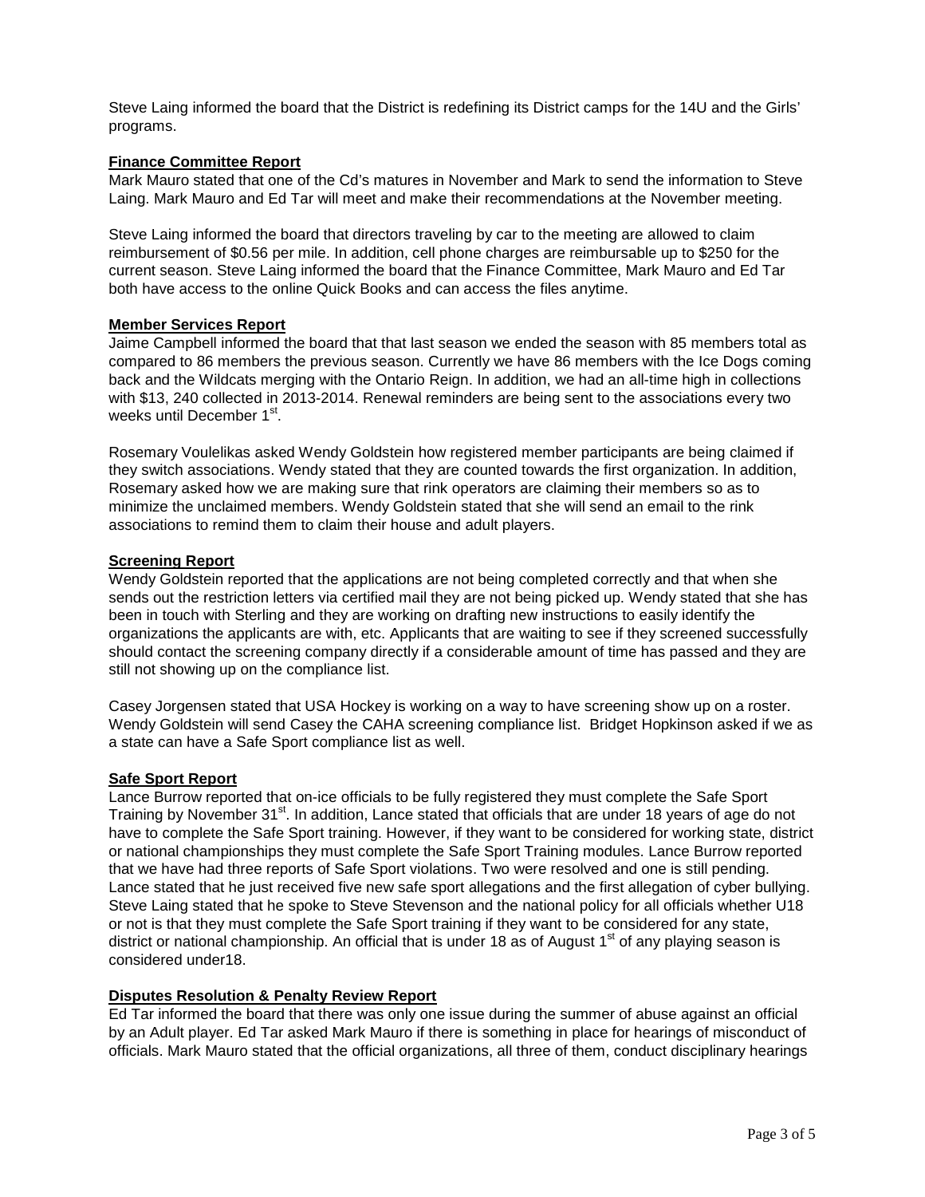Steve Laing informed the board that the District is redefining its District camps for the 14U and the Girls' programs.

## **Finance Committee Report**

Mark Mauro stated that one of the Cd's matures in November and Mark to send the information to Steve Laing. Mark Mauro and Ed Tar will meet and make their recommendations at the November meeting.

Steve Laing informed the board that directors traveling by car to the meeting are allowed to claim reimbursement of \$0.56 per mile. In addition, cell phone charges are reimbursable up to \$250 for the current season. Steve Laing informed the board that the Finance Committee, Mark Mauro and Ed Tar both have access to the online Quick Books and can access the files anytime.

## **Member Services Report**

Jaime Campbell informed the board that that last season we ended the season with 85 members total as compared to 86 members the previous season. Currently we have 86 members with the Ice Dogs coming back and the Wildcats merging with the Ontario Reign. In addition, we had an all-time high in collections with \$13, 240 collected in 2013-2014. Renewal reminders are being sent to the associations every two weeks until December 1<sup>st</sup>.

Rosemary Voulelikas asked Wendy Goldstein how registered member participants are being claimed if they switch associations. Wendy stated that they are counted towards the first organization. In addition, Rosemary asked how we are making sure that rink operators are claiming their members so as to minimize the unclaimed members. Wendy Goldstein stated that she will send an email to the rink associations to remind them to claim their house and adult players.

#### **Screening Report**

Wendy Goldstein reported that the applications are not being completed correctly and that when she sends out the restriction letters via certified mail they are not being picked up. Wendy stated that she has been in touch with Sterling and they are working on drafting new instructions to easily identify the organizations the applicants are with, etc. Applicants that are waiting to see if they screened successfully should contact the screening company directly if a considerable amount of time has passed and they are still not showing up on the compliance list.

Casey Jorgensen stated that USA Hockey is working on a way to have screening show up on a roster. Wendy Goldstein will send Casey the CAHA screening compliance list. Bridget Hopkinson asked if we as a state can have a Safe Sport compliance list as well.

#### **Safe Sport Report**

Lance Burrow reported that on-ice officials to be fully registered they must complete the Safe Sport Training by November 31<sup>st</sup>. In addition, Lance stated that officials that are under 18 years of age do not have to complete the Safe Sport training. However, if they want to be considered for working state, district or national championships they must complete the Safe Sport Training modules. Lance Burrow reported that we have had three reports of Safe Sport violations. Two were resolved and one is still pending. Lance stated that he just received five new safe sport allegations and the first allegation of cyber bullying. Steve Laing stated that he spoke to Steve Stevenson and the national policy for all officials whether U18 or not is that they must complete the Safe Sport training if they want to be considered for any state, district or national championship. An official that is under 18 as of August  $1<sup>st</sup>$  of any playing season is considered under18.

#### **Disputes Resolution & Penalty Review Report**

Ed Tar informed the board that there was only one issue during the summer of abuse against an official by an Adult player. Ed Tar asked Mark Mauro if there is something in place for hearings of misconduct of officials. Mark Mauro stated that the official organizations, all three of them, conduct disciplinary hearings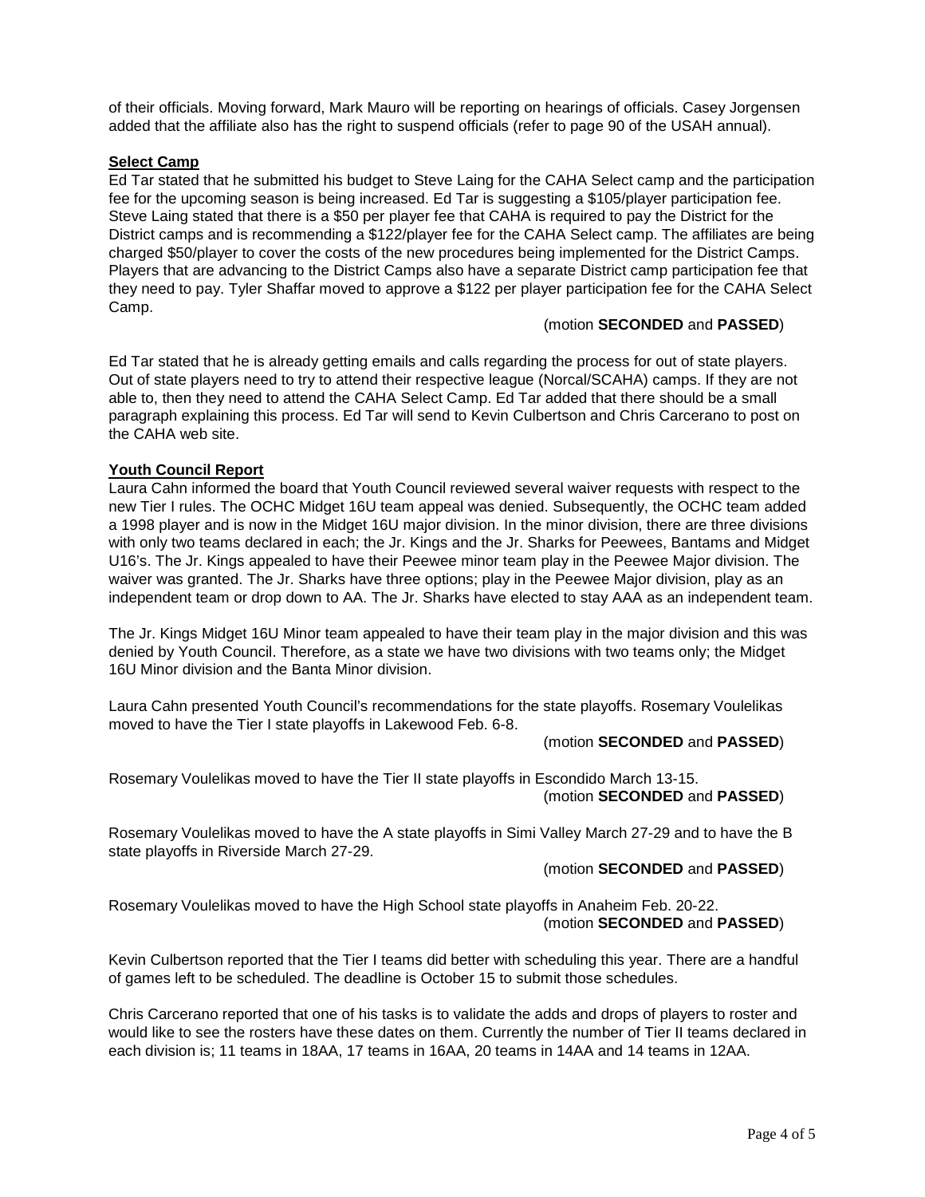of their officials. Moving forward, Mark Mauro will be reporting on hearings of officials. Casey Jorgensen added that the affiliate also has the right to suspend officials (refer to page 90 of the USAH annual).

### **Select Camp**

Ed Tar stated that he submitted his budget to Steve Laing for the CAHA Select camp and the participation fee for the upcoming season is being increased. Ed Tar is suggesting a \$105/player participation fee. Steve Laing stated that there is a \$50 per player fee that CAHA is required to pay the District for the District camps and is recommending a \$122/player fee for the CAHA Select camp. The affiliates are being charged \$50/player to cover the costs of the new procedures being implemented for the District Camps. Players that are advancing to the District Camps also have a separate District camp participation fee that they need to pay. Tyler Shaffar moved to approve a \$122 per player participation fee for the CAHA Select Camp.

### (motion **SECONDED** and **PASSED**)

Ed Tar stated that he is already getting emails and calls regarding the process for out of state players. Out of state players need to try to attend their respective league (Norcal/SCAHA) camps. If they are not able to, then they need to attend the CAHA Select Camp. Ed Tar added that there should be a small paragraph explaining this process. Ed Tar will send to Kevin Culbertson and Chris Carcerano to post on the CAHA web site.

## **Youth Council Report**

Laura Cahn informed the board that Youth Council reviewed several waiver requests with respect to the new Tier I rules. The OCHC Midget 16U team appeal was denied. Subsequently, the OCHC team added a 1998 player and is now in the Midget 16U major division. In the minor division, there are three divisions with only two teams declared in each; the Jr. Kings and the Jr. Sharks for Peewees, Bantams and Midget U16's. The Jr. Kings appealed to have their Peewee minor team play in the Peewee Major division. The waiver was granted. The Jr. Sharks have three options; play in the Peewee Major division, play as an independent team or drop down to AA. The Jr. Sharks have elected to stay AAA as an independent team.

The Jr. Kings Midget 16U Minor team appealed to have their team play in the major division and this was denied by Youth Council. Therefore, as a state we have two divisions with two teams only; the Midget 16U Minor division and the Banta Minor division.

Laura Cahn presented Youth Council's recommendations for the state playoffs. Rosemary Voulelikas moved to have the Tier I state playoffs in Lakewood Feb. 6-8.

#### (motion **SECONDED** and **PASSED**)

Rosemary Voulelikas moved to have the Tier II state playoffs in Escondido March 13-15. (motion **SECONDED** and **PASSED**)

Rosemary Voulelikas moved to have the A state playoffs in Simi Valley March 27-29 and to have the B state playoffs in Riverside March 27-29.

(motion **SECONDED** and **PASSED**)

Rosemary Voulelikas moved to have the High School state playoffs in Anaheim Feb. 20-22. (motion **SECONDED** and **PASSED**)

Kevin Culbertson reported that the Tier I teams did better with scheduling this year. There are a handful of games left to be scheduled. The deadline is October 15 to submit those schedules.

Chris Carcerano reported that one of his tasks is to validate the adds and drops of players to roster and would like to see the rosters have these dates on them. Currently the number of Tier II teams declared in each division is; 11 teams in 18AA, 17 teams in 16AA, 20 teams in 14AA and 14 teams in 12AA.